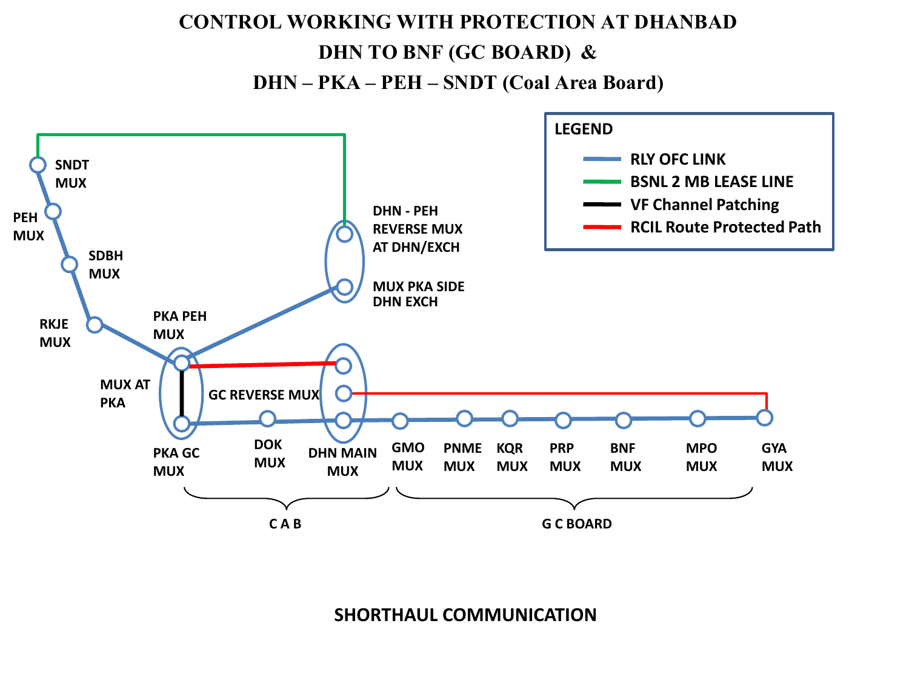# **CONTROL WORKING WITH PROTECTION AT DHANBAD DHN TO BNF (GC BOARD) & DHN – PKA – PEH – SNDT (Coal Area Board)**

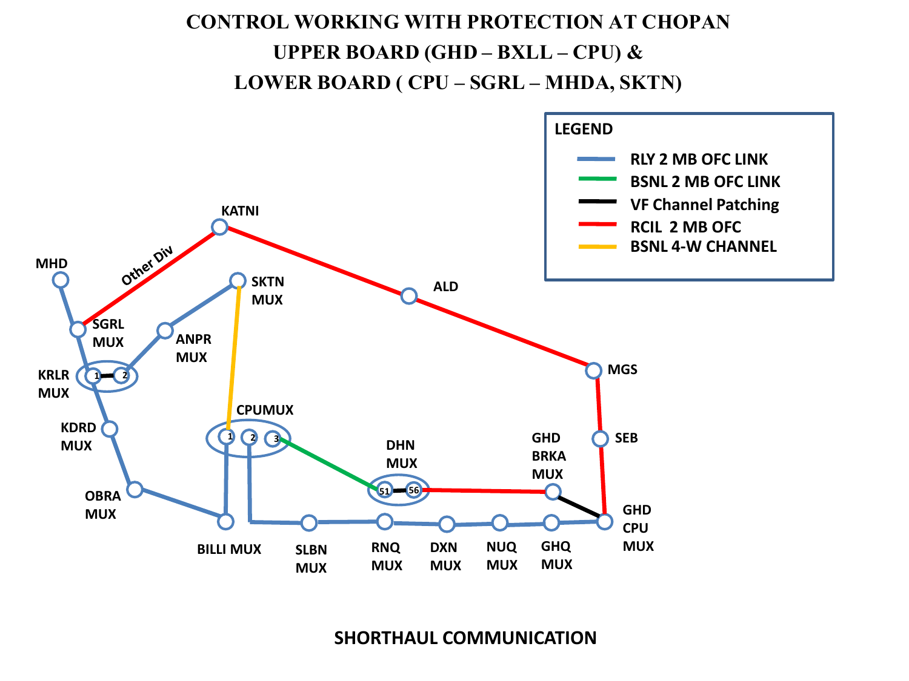## **CONTROL WORKING WITH PROTECTION AT CHOPAN UPPER BOARD (GHD – BXLL – CPU) & LOWER BOARD ( CPU – SGRL – MHDA, SKTN)**

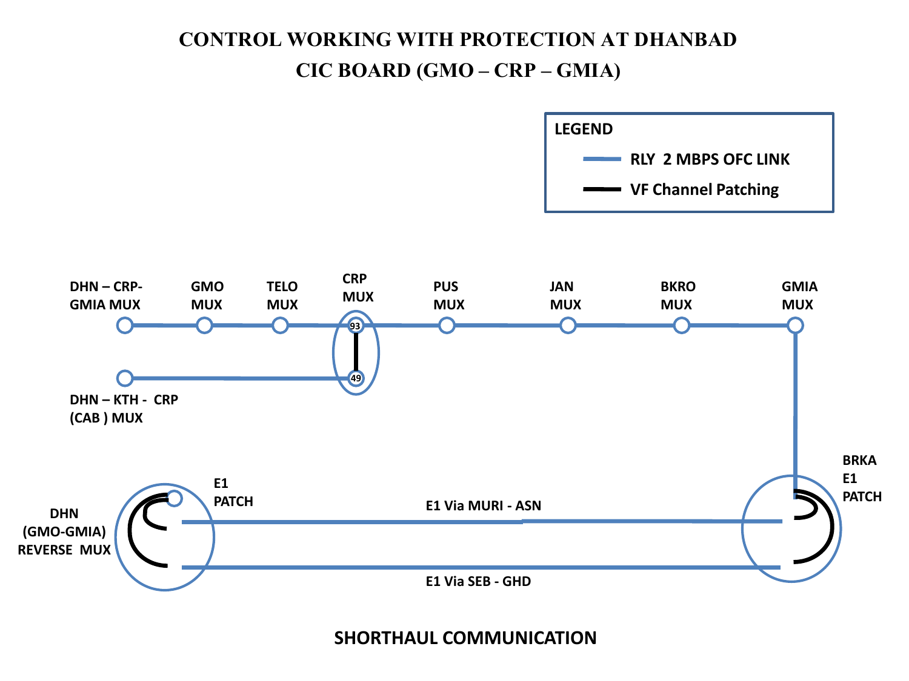### **CONTROL WORKING WITH PROTECTION AT DHANBAD CIC BOARD (GMO – CRP – GMIA)**

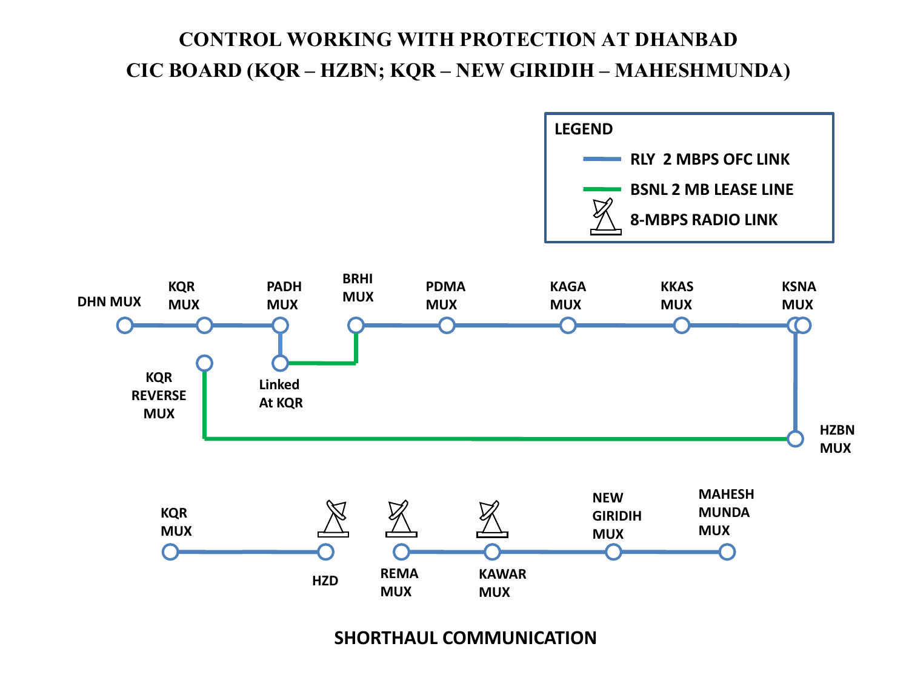### **CONTROL WORKING WITH PROTECTION AT DHANBAD CIC BOARD (KQR – HZBN; KQR – NEW GIRIDIH – MAHESHMUNDA)**

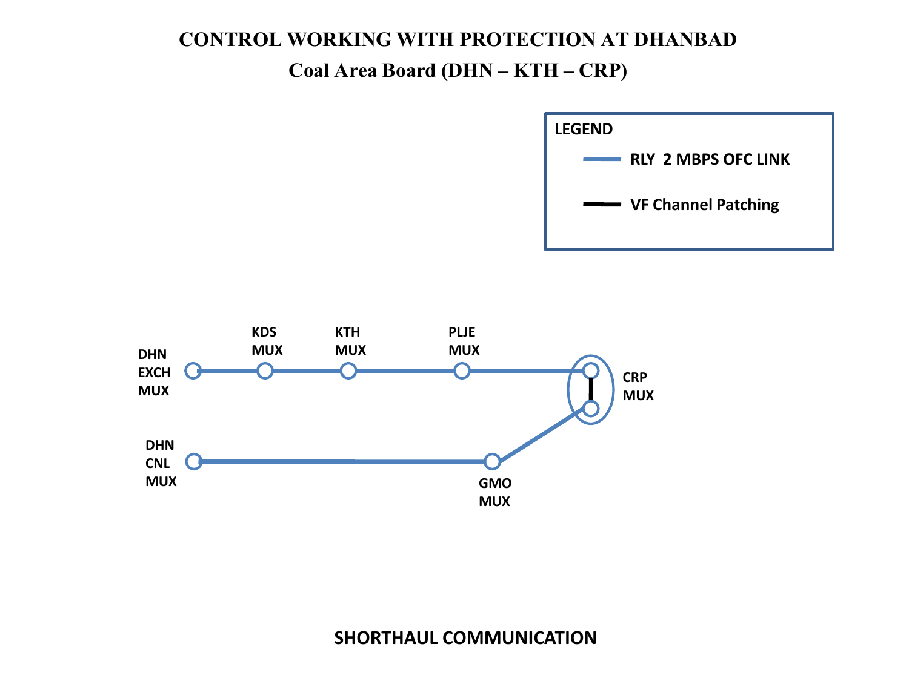### **CONTROL WORKING WITH PROTECTION AT DHANBAD Coal Area Board (DHN – KTH – CRP)**